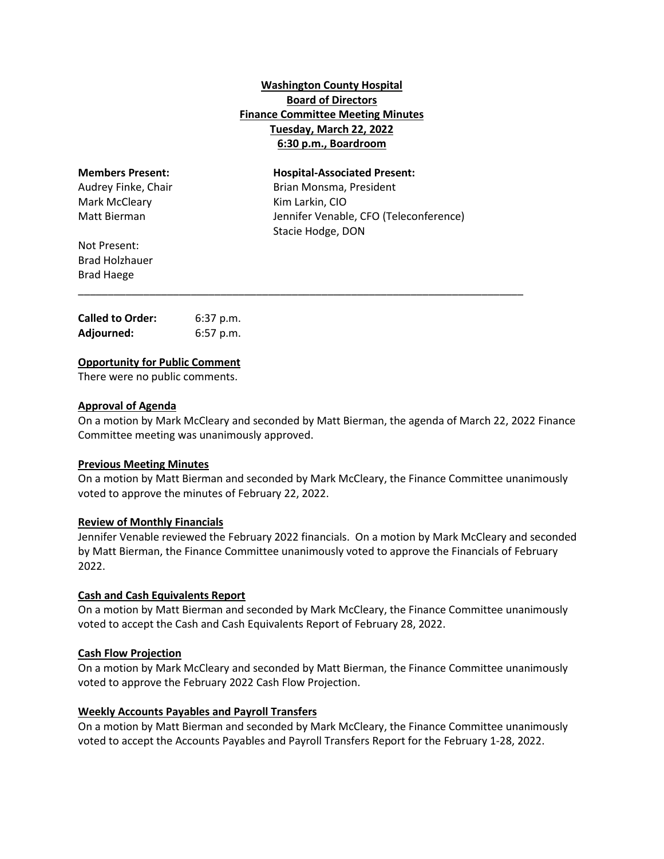# **Washington County Hospital Board of Directors Finance Committee Meeting Minutes Tuesday, March 22, 2022 6:30 p.m., Boardroom**

| <b>Members Present:</b> | <b>Hospital-Associated Present:</b>    |
|-------------------------|----------------------------------------|
| Audrey Finke, Chair     | Brian Monsma, President                |
| Mark McCleary           | Kim Larkin, CIO                        |
| Matt Bierman            | Jennifer Venable, CFO (Teleconference) |
|                         | Stacie Hodge, DON                      |
| Not Present:            |                                        |
| <b>Brad Holzhauer</b>   |                                        |
| <b>Brad Haege</b>       |                                        |

\_\_\_\_\_\_\_\_\_\_\_\_\_\_\_\_\_\_\_\_\_\_\_\_\_\_\_\_\_\_\_\_\_\_\_\_\_\_\_\_\_\_\_\_\_\_\_\_\_\_\_\_\_\_\_\_\_\_\_\_\_\_\_\_\_\_\_\_\_\_\_\_\_\_\_

| <b>Called to Order:</b> | $6:37$ p.m. |
|-------------------------|-------------|
| Adjourned:              | $6:57$ p.m. |

# **Opportunity for Public Comment**

There were no public comments.

# **Approval of Agenda**

On a motion by Mark McCleary and seconded by Matt Bierman, the agenda of March 22, 2022 Finance Committee meeting was unanimously approved.

## **Previous Meeting Minutes**

On a motion by Matt Bierman and seconded by Mark McCleary, the Finance Committee unanimously voted to approve the minutes of February 22, 2022.

## **Review of Monthly Financials**

Jennifer Venable reviewed the February 2022 financials. On a motion by Mark McCleary and seconded by Matt Bierman, the Finance Committee unanimously voted to approve the Financials of February 2022.

## **Cash and Cash Equivalents Report**

On a motion by Matt Bierman and seconded by Mark McCleary, the Finance Committee unanimously voted to accept the Cash and Cash Equivalents Report of February 28, 2022.

## **Cash Flow Projection**

On a motion by Mark McCleary and seconded by Matt Bierman, the Finance Committee unanimously voted to approve the February 2022 Cash Flow Projection.

## **Weekly Accounts Payables and Payroll Transfers**

On a motion by Matt Bierman and seconded by Mark McCleary, the Finance Committee unanimously voted to accept the Accounts Payables and Payroll Transfers Report for the February 1-28, 2022.